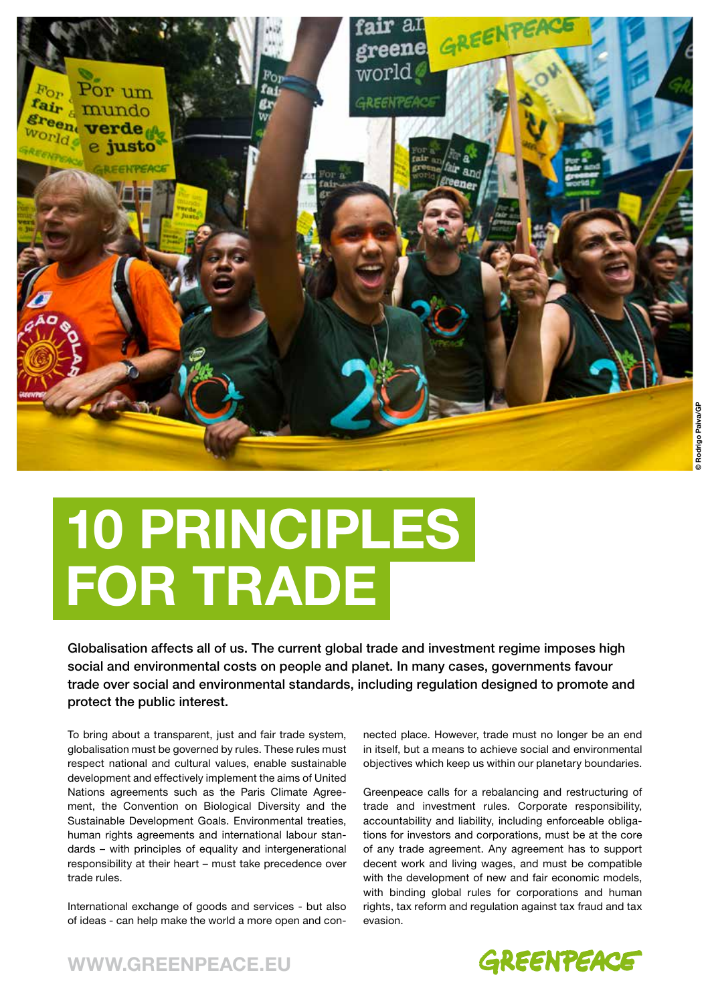

## **10 PRINCIPLES FOR TRADE**

Globalisation affects all of us. The current global trade and investment regime imposes high social and environmental costs on people and planet. In many cases, governments favour trade over social and environmental standards, including regulation designed to promote and protect the public interest.

To bring about a transparent, just and fair trade system, globalisation must be governed by rules. These rules must respect national and cultural values, enable sustainable development and effectively implement the aims of United Nations agreements such as the Paris Climate Agreement, the Convention on Biological Diversity and the Sustainable Development Goals. Environmental treaties, human rights agreements and international labour standards – with principles of equality and intergenerational responsibility at their heart – must take precedence over trade rules.

International exchange of goods and services - but also of ideas - can help make the world a more open and connected place. However, trade must no longer be an end in itself, but a means to achieve social and environmental objectives which keep us within our planetary boundaries.

Greenpeace calls for a rebalancing and restructuring of trade and investment rules. Corporate responsibility, accountability and liability, including enforceable obligations for investors and corporations, must be at the core of any trade agreement. Any agreement has to support decent work and living wages, and must be compatible with the development of new and fair economic models, with binding global rules for corporations and human rights, tax reform and regulation against tax fraud and tax evasion.